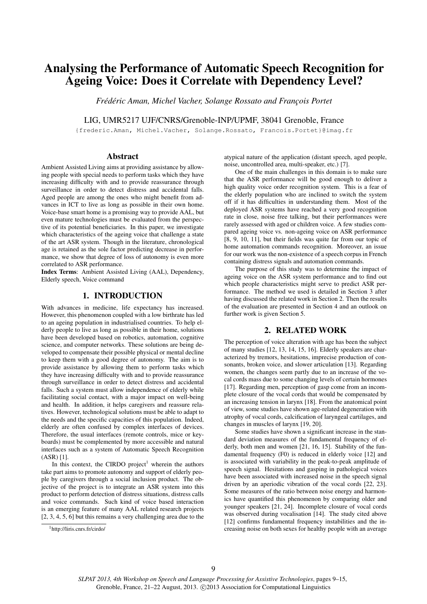# Analysing the Performance of Automatic Speech Recognition for Ageing Voice: Does it Correlate with Dependency Level?

*Frédéric Aman, Michel Vacher, Solange Rossato and François Portet*

LIG, UMR5217 UJF/CNRS/Grenoble-INP/UPMF, 38041 Grenoble, France

{frederic.Aman, Michel.Vacher, Solange.Rossato, Francois.Portet}@imag.fr

### Abstract

Ambient Assisted Living aims at providing assistance by allowing people with special needs to perform tasks which they have increasing difficulty with and to provide reassurance through surveillance in order to detect distress and accidental falls. Aged people are among the ones who might benefit from advances in ICT to live as long as possible in their own home. Voice-base smart home is a promising way to provide AAL, but even mature technologies must be evaluated from the perspective of its potential beneficiaries. In this paper, we investigate which characteristics of the ageing voice that challenge a state of the art ASR system. Though in the literature, chronological age is retained as the sole factor predicting decrease in performance, we show that degree of loss of autonomy is even more correlated to ASR performance.

Index Terms: Ambient Assisted Living (AAL), Dependency, Elderly speech, Voice command

# 1. INTRODUCTION

With advances in medicine, life expectancy has increased. However, this phenomenon coupled with a low birthrate has led to an ageing population in industrialised countries. To help elderly people to live as long as possible in their home, solutions have been developed based on robotics, automation, cognitive science, and computer networks. These solutions are being developed to compensate their possible physical or mental decline to keep them with a good degree of autonomy. The aim is to provide assistance by allowing them to perform tasks which they have increasing difficulty with and to provide reassurance through surveillance in order to detect distress and accidental falls. Such a system must allow independence of elderly while facilitating social contact, with a major impact on well-being and health. In addition, it helps caregivers and reassure relatives. However, technological solutions must be able to adapt to the needs and the specific capacities of this population. Indeed, elderly are often confused by complex interfaces of devices. Therefore, the usual interfaces (remote controls, mice or keyboards) must be complemented by more accessible and natural interfaces such as a system of Automatic Speech Recognition (ASR) [1].

In this context, the CIRDO project<sup>1</sup> wherein the authors take part aims to promote autonomy and support of elderly people by caregivers through a social inclusion product. The objective of the project is to integrate an ASR system into this product to perform detection of distress situations, distress calls and voice commands. Such kind of voice based interaction is an emerging feature of many AAL related research projects [2, 3, 4, 5, 6] but this remains a very challenging area due to the atypical nature of the application (distant speech, aged people, noise, uncontrolled area, multi-speaker, etc.) [7].

One of the main challenges in this domain is to make sure that the ASR performance will be good enough to deliver a high quality voice order recognition system. This is a fear of the elderly population who are inclined to switch the system off if it has difficulties in understanding them. Most of the deployed ASR systems have reached a very good recognition rate in close, noise free talking, but their performances were rarely assessed with aged or children voice. A few studies compared ageing voice vs. non-ageing voice on ASR performance [8, 9, 10, 11], but their fields was quite far from our topic of home automation commands recognition. Moreover, an issue for our work was the non-existence of a speech corpus in French containing distress signals and automation commands.

The purpose of this study was to determine the impact of ageing voice on the ASR system performance and to find out which people characteristics might serve to predict ASR performance. The method we used is detailed in Section 3 after having discussed the related work in Section 2. Then the results of the evaluation are presented in Section 4 and an outlook on further work is given Section 5.

# 2. RELATED WORK

The perception of voice alteration with age has been the subject of many studies [12, 13, 14, 15, 16]. Elderly speakers are characterized by tremors, hesitations, imprecise production of consonants, broken voice, and slower articulation [13]. Regarding women, the changes seem partly due to an increase of the vocal cords mass due to some changing levels of certain hormones [17]. Regarding men, perception of gasp come from an incomplete closure of the vocal cords that would be compensated by an increasing tension in larynx [18]. From the anatomical point of view, some studies have shown age-related degeneration with atrophy of vocal cords, calcification of laryngeal cartilages, and changes in muscles of larynx [19, 20].

Some studies have shown a significant increase in the standard deviation measures of the fundamental frequency of elderly, both men and women [21, 16, 15]. Stability of the fundamental frequency (F0) is reduced in elderly voice [12] and is associated with variability in the peak-to-peak amplitude of speech signal. Hesitations and gasping in pathological voices have been associated with increased noise in the speech signal driven by an aperiodic vibration of the vocal cords [22, 23]. Some measures of the ratio between noise energy and harmonics have quantified this phenomenon by comparing older and younger speakers [21, 24]. Incomplete closure of vocal cords was observed during vocalisation [14]. The study cited above [12] confirms fundamental frequency instabilities and the increasing noise on both sexes for healthy people with an average

<sup>1</sup>http://liris.cnrs.fr/cirdo/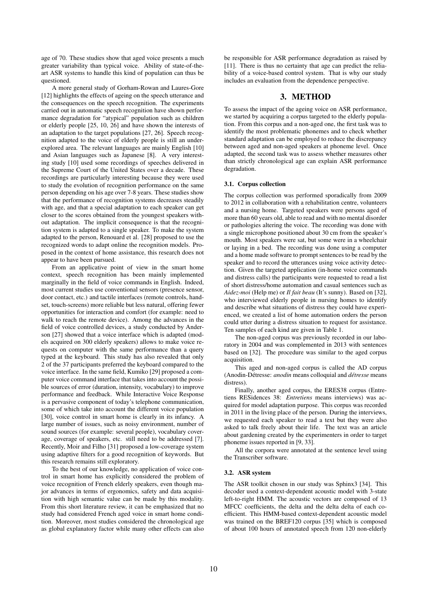age of 70. These studies show that aged voice presents a much greater variability than typical voice. Ability of state-of-theart ASR systems to handle this kind of population can thus be questioned.

A more general study of Gorham-Rowan and Laures-Gore [12] highlights the effects of ageing on the speech utterance and the consequences on the speech recognition. The experiments carried out in automatic speech recognition have shown performance degradation for "atypical" population such as children or elderly people [25, 10, 26] and have shown the interests of an adaptation to the target populations [27, 26]. Speech recognition adapted to the voice of elderly people is still an underexplored area. The relevant languages are mainly English [10] and Asian languages such as Japanese [8]. A very interesting study [10] used some recordings of speeches delivered in the Supreme Court of the United States over a decade. These recordings are particularly interesting because they were used to study the evolution of recognition performance on the same person depending on his age over 7-8 years. These studies show that the performance of recognition systems decreases steadily with age, and that a special adaptation to each speaker can get closer to the scores obtained from the youngest speakers without adaptation. The implicit consequence is that the recognition system is adapted to a single speaker. To make the system adapted to the person, Renouard et al. [28] proposed to use the recognized words to adapt online the recognition models. Proposed in the context of home assistance, this research does not appear to have been pursued.

From an applicative point of view in the smart home context, speech recognition has been mainly implemented marginally in the field of voice commands in English. Indeed, most current studies use conventional sensors (presence sensor, door contact, etc.) and tactile interfaces (remote controls, handset, touch-screens) more reliable but less natural, offering fewer opportunities for interaction and comfort (for example: need to walk to reach the remote device). Among the advances in the field of voice controlled devices, a study conducted by Anderson [27] showed that a voice interface which is adapted (models acquired on 300 elderly speakers) allows to make voice requests on computer with the same performance than a query typed at the keyboard. This study has also revealed that only 2 of the 37 participants preferred the keyboard compared to the voice interface. In the same field, Kumiko [29] proposed a computer voice command interface that takes into account the possible sources of error (duration, intensity, vocabulary) to improve performance and feedback. While Interactive Voice Response is a pervasive component of today's telephone communication, some of which take into account the different voice population [30], voice control in smart home is clearly in its infancy. A large number of issues, such as noisy environment, number of sound sources (for example: several people), vocabulary coverage, coverage of speakers, etc. still need to be addressed [7]. Recently, Moir and Filho [31] proposed a low-coverage system using adaptive filters for a good recognition of keywords. But this research remains still exploratory.

To the best of our knowledge, no application of voice control in smart home has explicitly considered the problem of voice recognition of French elderly speakers, even though major advances in terms of ergonomics, safety and data acquisition with high semantic value can be made by this modality. From this short literature review, it can be emphasized that no study had considered French aged voice in smart home condition. Moreover, most studies considered the chronological age as global explanatory factor while many other effects can also be responsible for ASR performance degradation as raised by [11]. There is thus no certainty that age can predict the reliability of a voice-based control system. That is why our study includes an evaluation from the dependence perspective.

# 3. METHOD

To assess the impact of the ageing voice on ASR performance, we started by acquiring a corpus targeted to the elderly population. From this corpus and a non-aged one, the first task was to identify the most problematic phonemes and to check whether standard adaptation can be employed to reduce the discrepancy between aged and non-aged speakers at phoneme level. Once adapted, the second task was to assess whether measures other than strictly chronological age can explain ASR performance degradation.

### 3.1. Corpus collection

The corpus collection was performed sporadically from 2009 to 2012 in collaboration with a rehabilitation centre, volunteers and a nursing home. Targeted speakers were persons aged of more than 60 years old, able to read and with no mental disorder or pathologies altering the voice. The recording was done with a single microphone positioned about 30 cm from the speaker's mouth. Most speakers were sat, but some were in a wheelchair or laying in a bed. The recording was done using a computer and a home made software to prompt sentences to be read by the speaker and to record the utterances using voice activity detection. Given the targeted application (in-home voice commands and distress calls) the participants were requested to read a list of short distress/home automation and casual sentences such as *Aidez-moi* (Help me) or *Il fait beau* (It's sunny). Based on [32], who interviewed elderly people in nursing homes to identify and describe what situations of distress they could have experienced, we created a list of home automation orders the person could utter during a distress situation to request for assistance. Ten samples of each kind are given in Table 1.

The non-aged corpus was previously recorded in our laboratory in 2004 and was complemented in 2013 with sentences based on [32]. The procedure was similar to the aged corpus acquisition.

This aged and non-aged corpus is called the AD corpus (Anodin-Détresse: *anodin* means colloquial and *détresse* means distress).

Finally, another aged corpus, the ERES38 corpus (Entretiens RESidences 38: *Entretiens* means interviews) was acquired for model adaptation purpose. This corpus was recorded in 2011 in the living place of the person. During the interviews, we requested each speaker to read a text but they were also asked to talk freely about their life. The text was an article about gardening created by the experimenters in order to target phoneme issues reported in [9, 33].

All the corpora were annotated at the sentence level using the Transcriber software.

## 3.2. ASR system

The ASR toolkit chosen in our study was Sphinx3 [34]. This decoder used a context-dependent acoustic model with 3-state left-to-right HMM. The acoustic vectors are composed of 13 MFCC coefficients, the delta and the delta delta of each coefficient. This HMM-based context-dependent acoustic model was trained on the BREF120 corpus [35] which is composed of about 100 hours of annotated speech from 120 non-elderly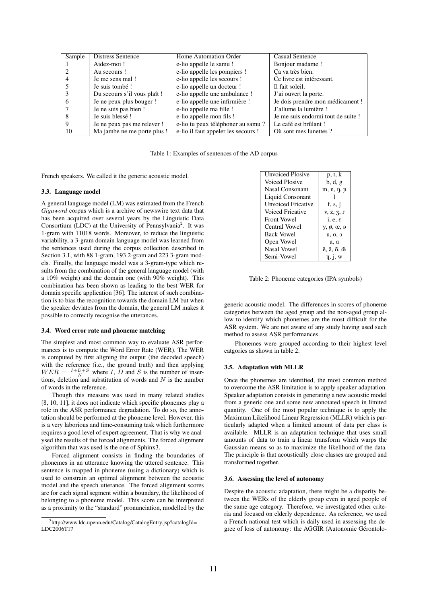| Sample | <b>Distress Sentence</b>    | Home Automation Order               | <b>Casual Sentence</b>             |
|--------|-----------------------------|-------------------------------------|------------------------------------|
|        | Aidez-moi!                  | e-lio appelle le samu !             | Bonjour madame !                   |
|        | Au secours!                 | e-lio appelle les pompiers !        | Ca va très bien.                   |
|        | Je me sens mal!             | e-lio appelle les secours !         | Ce livre est intéressant.          |
|        | Je suis tombé!              | e-lio appelle un docteur !          | Il fait soleil.                    |
|        | Du secours s'il vous plaît! | e-lio appelle une ambulance !       | J'ai ouvert la porte.              |
|        | Je ne peux plus bouger !    | e-lio appelle une infirmière !      | Je dois prendre mon médicament !   |
|        | Je ne suis pas bien !       | e-lio appelle ma fille!             | J'allume la lumière !              |
|        | Je suis blessé!             | e-lio appelle mon fils!             | Je me suis endormi tout de suite ! |
| 9      | Je ne peux pas me relever ! | e-lio tu peux téléphoner au samu?   | Le café est brûlant!               |
| 10     | Ma jambe ne me porte plus ! | e-lio il faut appeler les secours ! | Où sont mes lunettes?              |

Table 1: Examples of sentences of the AD corpus

French speakers. We called it the generic acoustic model.

### 3.3. Language model

A general language model (LM) was estimated from the French *Gigaword* corpus which is a archive of newswire text data that has been acquired over several years by the Linguistic Data Consortium (LDC) at the University of Pennsylvania<sup>2</sup>. It was 1-gram with 11018 words. Moreover, to reduce the linguistic variability, a 3-gram domain language model was learned from the sentences used during the corpus collection described in Section 3.1, with 88 1-gram, 193 2-gram and 223 3-gram models. Finally, the language model was a 3-gram-type which results from the combination of the general language model (with a 10% weight) and the domain one (with 90% weight). This combination has been shown as leading to the best WER for domain specific application [36]. The interest of such combination is to bias the recognition towards the domain LM but when the speaker deviates from the domain, the general LM makes it possible to correctly recognise the utterances.

#### 3.4. Word error rate and phoneme matching

The simplest and most common way to evaluate ASR performances is to compute the Word Error Rate (WER). The WER is computed by first aligning the output (the decoded speech) with the reference (i.e., the ground truth) and then applying  $WER = \frac{I+D+S}{N}$  where *I*, *D* and *S* is the number of insertions, deletion and substitution of words and  $N$  is the number of words in the reference.

Though this measure was used in many related studies [8, 10, 11], it does not indicate which specific phonemes play a role in the ASR performance degradation. To do so, the annotation should be performed at the phoneme level. However, this is a very laborious and time-consuming task which furthermore requires a good level of expert agreement. That is why we analysed the results of the forced alignments. The forced alignment algorithm that was used is the one of Sphinx3.

Forced alignment consists in finding the boundaries of phonemes in an utterance knowing the uttered sentence. This sentence is mapped in phoneme (using a dictionary) which is used to constrain an optimal alignment between the acoustic model and the speech utterance. The forced alignment scores are for each signal segment within a boundary, the likelihood of belonging to a phoneme model. This score can be interpreted as a proximity to the "standard" pronunciation, modelled by the

| Unvoiced Plosive          | p, t, k                                           |
|---------------------------|---------------------------------------------------|
| Voiced Plosive            | b, d, g                                           |
| Nasal Consonant           | m, n, n, n                                        |
| Liquid Consonant          |                                                   |
| <b>Unvoiced Fricative</b> | f, s, $\int$                                      |
| Voiced Fricative          | V, Z, 7, f                                        |
| <b>Front Vowel</b>        | $i, e, \varepsilon$                               |
| Central Vowel             | $y, \emptyset, \emptyset, \emptyset$              |
| <b>Back Vowel</b>         | u, o, o                                           |
| Open Vowel                | a, q                                              |
| Nasal Vowel               | $\tilde{e}, \tilde{a}, \tilde{o}, \tilde{\alpha}$ |
| Semi-Vowel                | $q, \gamma$ , w                                   |

Table 2: Phoneme categories (IPA symbols)

generic acoustic model. The differences in scores of phoneme categories between the aged group and the non-aged group allow to identify which phonemes are the most difficult for the ASR system. We are not aware of any study having used such method to assess ASR performances.

Phonemes were grouped according to their highest level catgories as shown in table 2.

### 3.5. Adaptation with MLLR

Once the phonemes are identified, the most common method to overcome the ASR limitation is to apply speaker adaptation. Speaker adaptation consists in generating a new acoustic model from a generic one and some new annotated speech in limited quantity. One of the most popular technique is to apply the Maximum Likelihood Linear Regression (MLLR) which is particularly adapted when a limited amount of data per class is available. MLLR is an adaptation technique that uses small amounts of data to train a linear transform which warps the Gaussian means so as to maximize the likelihood of the data. The principle is that acoustically close classes are grouped and transformed together.

#### 3.6. Assessing the level of autonomy

Despite the acoustic adaptation, there might be a disparity between the WERs of the elderly group even in aged people of the same age category. Therefore, we investigated other criteria and focused on elderly dependence. As reference, we used a French national test which is daily used in assessing the degree of loss of autonomy: the AGGIR (Autonomie Gérontolo-

<sup>&</sup>lt;sup>2</sup>http://www.ldc.upenn.edu/Catalog/CatalogEntry.jsp?catalogId= LDC2006T17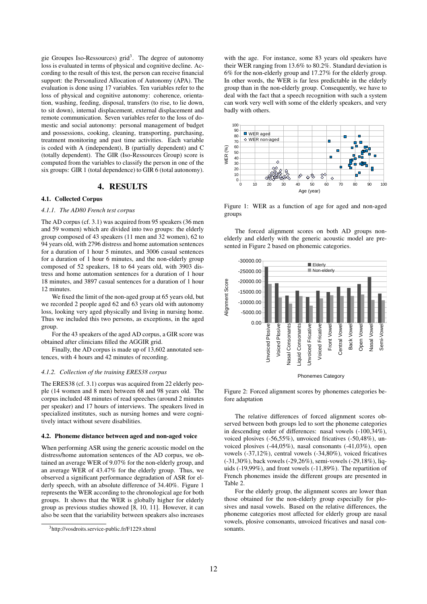gie Groupes Iso-Ressources) grid<sup>3</sup>. The degree of autonomy loss is evaluated in terms of physical and cognitive decline. According to the result of this test, the person can receive financial support: the Personalized Allocation of Autonomy (APA). The evaluation is done using 17 variables. Ten variables refer to the loss of physical and cognitive autonomy: coherence, orientation, washing, feeding, disposal, transfers (to rise, to lie down, to sit down), internal displacement, external displacement and remote communication. Seven variables refer to the loss of domestic and social autonomy: personal management of budget and possessions, cooking, cleaning, transporting, purchasing, treatment monitoring and past time activities. Each variable is coded with A (independent), B (partially dependent) and C (totally dependent). The GIR (Iso-Ressources Group) score is computed from the variables to classify the person in one of the six groups: GIR 1 (total dependence) to GIR 6 (total autonomy).

# 4. RESULTS

# 4.1. Collected Corpus

#### *4.1.1. The AD80 French test corpus*

The AD corpus (cf. 3.1) was acquired from 95 speakers (36 men and 59 women) which are divided into two groups: the elderly group composed of 43 speakers (11 men and 32 women), 62 to 94 years old, with 2796 distress and home automation sentences for a duration of 1 hour 5 minutes, and 3006 casual sentences for a duration of 1 hour 6 minutes, and the non-elderly group composed of 52 speakers, 18 to 64 years old, with 3903 distress and home automation sentences for a duration of 1 hour 18 minutes, and 3897 casual sentences for a duration of 1 hour 12 minutes.

We fixed the limit of the non-aged group at 65 years old, but we recorded 2 people aged 62 and 63 years old with autonomy loss, looking very aged physically and living in nursing home. Thus we included this two persons, as exceptions, in the aged group.

For the 43 speakers of the aged AD corpus, a GIR score was obtained after clinicians filled the AGGIR grid.

Finally, the AD corpus is made up of 13,602 annotated sentences, with 4 hours and 42 minutes of recording.

#### *4.1.2. Collection of the training ERES38 corpus*

The ERES38 (cf. 3.1) corpus was acquired from 22 elderly people (14 women and 8 men) between 68 and 98 years old. The corpus included 48 minutes of read speeches (around 2 minutes per speaker) and 17 hours of interviews. The speakers lived in specialized institutes, such as nursing homes and were cognitively intact without severe disabilities.

#### 4.2. Phoneme distance between aged and non-aged voice

When performing ASR using the generic acoustic model on the distress/home automation sentences of the AD corpus, we obtained an average WER of 9.07% for the non-elderly group, and an average WER of 43.47% for the elderly group. Thus, we observed a significant performance degradation of ASR for elderly speech, with an absolute difference of 34.40%. Figure 1 represents the WER according to the chronological age for both groups. It shows that the WER is globally higher for elderly group as previous studies showed [8, 10, 11]. However, it can also be seen that the variability between speakers also increases

with the age. For instance, some 83 years old speakers have their WER ranging from 13.6% to 80.2%. Standard deviation is 6% for the non-elderly group and 17.27% for the elderly group. In other words, the WER is far less predictable in the elderly group than in the non-elderly group. Consequently, we have to deal with the fact that a speech recognition with such a system can work very well with some of the elderly speakers, and very badly with others.



Figure 1: WER as a function of age for aged and non-aged groups

The forced alignment scores on both AD groups nonelderly and elderly with the generic acoustic model are presented in Figure 2 based on phonemic categories.



Phonemes Category

Figure 2: Forced alignment scores by phonemes categories before adaptation

The relative differences of forced alignment scores observed between both groups led to sort the phoneme categories in descending order of differences: nasal vowels (-100,34%), voiced plosives (-56,55%), unvoiced fricatives (-50,48%), unvoiced plosives (-44,05%), nasal consonants (-41,03%), open vowels (-37,12%), central vowels (-34,80%), voiced fricatives (-31,30%), back vowels (-29,26%), semi-vowels (-29,18%), liquids (-19,99%), and front vowels (-11,89%). The repartition of French phonemes inside the different groups are presented in Table 2.

For the elderly group, the alignment scores are lower than those obtained for the non-elderly group especially for plosives and nasal vowels. Based on the relative differences, the phoneme categories most affected for elderly group are nasal vowels, plosive consonants, unvoiced fricatives and nasal consonants.

<sup>3</sup>http://vosdroits.service-public.fr/F1229.xhtml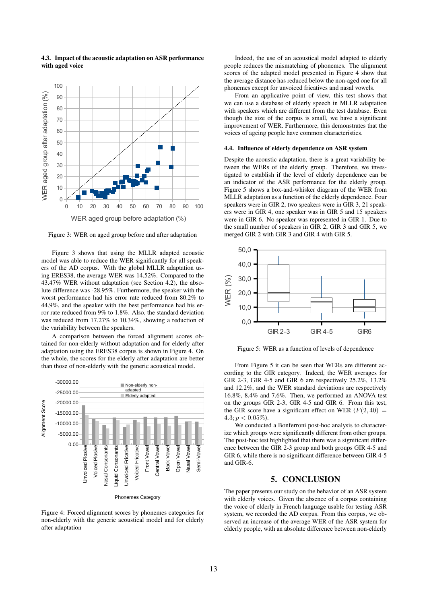

4.3. Impact of the acoustic adaptation on ASR performance with aged voice

Figure 3: WER on aged group before and after adaptation

Figure 3 shows that using the MLLR adapted acoustic model was able to reduce the WER significantly for all speakers of the AD corpus. With the global MLLR adaptation using ERES38, the average WER was 14.52%. Compared to the 43.47% WER without adaptation (see Section 4.2), the absolute difference was -28.95%. Furthermore, the speaker with the worst performance had his error rate reduced from 80.2% to 44.9%, and the speaker with the best performance had his error rate reduced from 9% to 1.8%. Also, the standard deviation was reduced from 17.27% to 10.34%, showing a reduction of the variability between the speakers.

A comparison between the forced alignment scores obtained for non-elderly without adaptation and for elderly after adaptation using the ERES38 corpus is shown in Figure 4. On the whole, the scores for the elderly after adaptation are better than those of non-elderly with the generic acoustical model.



Figure 4: Forced alignment scores by phonemes categories for non-elderly with the generic acoustical model and for elderly after adaptation

Indeed, the use of an acoustical model adapted to elderly people reduces the mismatching of phonemes. The alignment scores of the adapted model presented in Figure 4 show that the average distance has reduced below the non-aged one for all phonemes except for unvoiced fricatives and nasal vowels.

From an applicative point of view, this test shows that we can use a database of elderly speech in MLLR adaptation with speakers which are different from the test database. Even though the size of the corpus is small, we have a significant improvement of WER. Furthermore, this demonstrates that the voices of ageing people have common characteristics.

#### 4.4. Influence of elderly dependence on ASR system

Despite the acoustic adaptation, there is a great variability between the WERs of the elderly group. Therefore, we investigated to establish if the level of elderly dependence can be an indicator of the ASR performance for the elderly group. Figure 5 shows a box-and-whisker diagram of the WER from MLLR adaptation as a function of the elderly dependence. Four speakers were in GIR 2, two speakers were in GIR 3, 21 speakers were in GIR 4, one speaker was in GIR 5 and 15 speakers were in GIR 6. No speaker was represented in GIR 1. Due to the small number of speakers in GIR 2, GIR 3 and GIR 5, we merged GIR 2 with GIR 3 and GIR 4 with GIR 5.



Figure 5: WER as a function of levels of dependence

From Figure 5 it can be seen that WERs are different according to the GIR category. Indeed, the WER averages for GIR 2-3, GIR 4-5 and GIR 6 are respectively 25.2%, 13.2% and 12.2%, and the WER standard deviations are respectively 16.8%, 8.4% and 7.6%. Then, we performed an ANOVA test on the groups GIR 2-3, GIR 4-5 and GIR 6. From this test, the GIR score have a significant effect on WER  $(F(2, 40)$  =  $4.3; p < 0.05\%$ ).

We conducted a Bonferroni post-hoc analysis to characterize which groups were significantly different from other groups. The post-hoc test highlighted that there was a significant difference between the GIR 2-3 group and both groups GIR 4-5 and GIR 6, while there is no significant difference between GIR 4-5 and GIR-6.

# 5. CONCLUSION

The paper presents our study on the behavior of an ASR system with elderly voices. Given the absence of a corpus containing the voice of elderly in French language usable for testing ASR system, we recorded the AD corpus. From this corpus, we observed an increase of the average WER of the ASR system for elderly people, with an absolute difference between non-elderly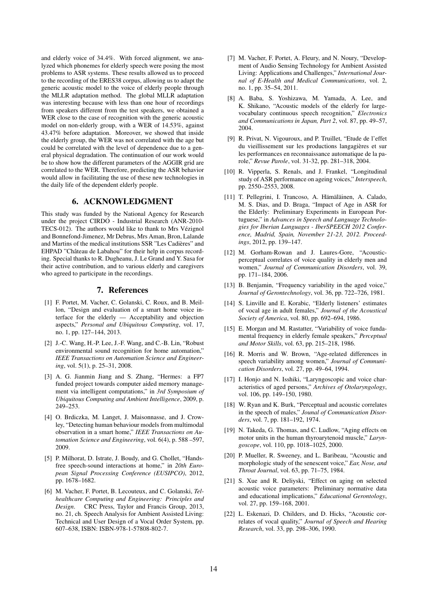and elderly voice of 34.4%. With forced alignment, we analyzed which phonemes for elderly speech were posing the most problems to ASR systems. These results allowed us to proceed to the recording of the ERES38 corpus, allowing us to adapt the generic acoustic model to the voice of elderly people through the MLLR adaptation method. The global MLLR adaptation was interesting because with less than one hour of recordings from speakers different from the test speakers, we obtained a WER close to the case of recognition with the generic acoustic model on non-elderly group, with a WER of 14.53%, against 43.47% before adaptation. Moreover, we showed that inside the elderly group, the WER was not correlated with the age but could be correlated with the level of dependence due to a general physical degradation. The continuation of our work would be to show how the different parameters of the AGGIR grid are correlated to the WER. Therefore, predicting the ASR behavior would allow in facilitating the use of these new technologies in the daily life of the dependent elderly people.

# 6. ACKNOWLEDGMENT

This study was funded by the National Agency for Research under the project CIRDO - Industrial Research (ANR-2010- TECS-012). The authors would like to thank to Mrs Vézignol and Bonnefond-Jimenez, Mr Debrus, Mrs Aman, Bron, Lalande and Martins of the medical institutions SSR "Les Cadières" and EHPAD "Château de Labahou" for their help in corpus recording. Special thanks to R. Dugheanu, J. Le Grand and Y. Sasa for their active contribution, and to various elderly and caregivers who agreed to participate in the recordings.

# 7. References

- [1] F. Portet, M. Vacher, C. Golanski, C. Roux, and B. Meillon, "Design and evaluation of a smart home voice interface for the elderly — Acceptability and objection aspects," *Personal and Ubiquitous Computing*, vol. 17, no. 1, pp. 127–144, 2013.
- [2] J.-C. Wang, H.-P. Lee, J.-F. Wang, and C.-B. Lin, "Robust environmental sound recognition for home automation," *IEEE Transactions on Automation Science and Engineering*, vol. 5(1), p. 25–31, 2008.
- [3] A. G. Jianmin Jiang and S. Zhang, "Hermes: a FP7 funded project towards computer aided memory management via intelligent computations," in *3rd Symposium of Ubiquitous Computing and Ambient Intelligence*, 2009, p. 249–253.
- [4] O. Brdiczka, M. Langet, J. Maisonnasse, and J. Crowley, "Detecting human behaviour models from multimodal observation in a smart home," *IEEE Transactions on Automation Science and Engineering*, vol. 6(4), p. 588 –597, 2009.
- [5] P. Milhorat, D. Istrate, J. Boudy, and G. Chollet, "Handsfree speech-sound interactions at home," in *20th European Signal Processing Conference (EUSIPCO)*, 2012, pp. 1678–1682.
- [6] M. Vacher, F. Portet, B. Lecouteux, and C. Golanski, *Telhealthcare Computing and Engineering: Principles and Design*. CRC Press, Taylor and Francis Group, 2013, no. 21, ch. Speech Analysis for Ambient Assisted Living: Technical and User Design of a Vocal Order System, pp. 607–638, ISBN: ISBN-978-1-57808-802-7.
- [7] M. Vacher, F. Portet, A. Fleury, and N. Noury, "Development of Audio Sensing Technology for Ambient Assisted Living: Applications and Challenges," *International Journal of E-Health and Medical Communications*, vol. 2, no. 1, pp. 35–54, 2011.
- [8] A. Baba, S. Yoshizawa, M. Yamada, A. Lee, and K. Shikano, "Acoustic models of the elderly for largevocabulary continuous speech recognition," *Electronics and Communications in Japan, Part 2*, vol. 87, pp. 49–57, 2004.
- [9] R. Privat, N. Vigouroux, and P. Truillet, "Etude de l'effet du vieillissement sur les productions langagières et sur les performances en reconnaissance automatique de la parole," *Revue Parole*, vol. 31-32, pp. 281–318, 2004.
- [10] R. Vipperla, S. Renals, and J. Frankel, "Longitudinal study of ASR performance on ageing voices," *Interspeech*, pp. 2550–2553, 2008.
- [11] T. Pellegrini, I. Trancoso, A. Hämäläinen, A. Calado, M. S. Dias, and D. Braga, "Impact of Age in ASR for the Elderly: Preliminary Experiments in European Portuguese," in *Advances in Speech and Language Technologies for Iberian Languages - IberSPEECH 2012 Conference, Madrid, Spain, November 21-23, 2012. Proceedings*, 2012, pp. 139–147.
- [12] M. Gorham-Rowan and J. Laures-Gore, "Acousticperceptual correlates of voice quality in elderly men and women," *Journal of Communication Disorders*, vol. 39, pp. 171–184, 2006.
- [13] B. Benjamin, "Frequency variability in the aged voice," *Journal of Gerontechnology*, vol. 36, pp. 722–726, 1981.
- [14] S. Linville and E. Korabic, "Elderly listeners' estimates of vocal age in adult females," *Journal of the Acoustical Society of America*, vol. 80, pp. 692–694, 1986.
- [15] E. Morgan and M. Rastatter, "Variability of voice fundamental frequency in elderly female speakers," *Perceptual and Motor Skills*, vol. 63, pp. 215–218, 1986.
- [16] R. Morris and W. Brown, "Age-related differences in speech variability among women," *Journal of Communication Disorders*, vol. 27, pp. 49–64, 1994.
- [17] I. Honjo and N. Isshiki, "Laryngoscopic and voice characteristics of aged persons," *Archives of Otolaryngology*, vol. 106, pp. 149–150, 1980.
- [18] W. Ryan and K. Burk, "Perceptual and acoustic correlates in the speech of males," *Jounal of Communication Disorders*, vol. 7, pp. 181–192, 1974.
- [19] N. Takeda, G. Thomas, and C. Ludlow, "Aging effects on motor units in the human thyroarytenoid muscle," *Laryngoscope*, vol. 110, pp. 1018–1025, 2000.
- [20] P. Mueller, R. Sweeney, and L. Baribeau, "Acoustic and morphologic study of the senescent voice," *Ear, Nose, and Throat Journal*, vol. 63, pp. 71–75, 1984.
- [21] S. Xue and R. Deliyski, "Effect on aging on selected acoustic voice parameters: Preliminary normative data and educational implications," *Educational Gerontology*, vol. 27, pp. 159–168, 2001.
- [22] L. Eskenazi, D. Childers, and D. Hicks, "Acoustic correlates of vocal quality," *Journal of Speech and Hearing Research*, vol. 33, pp. 298–306, 1990.